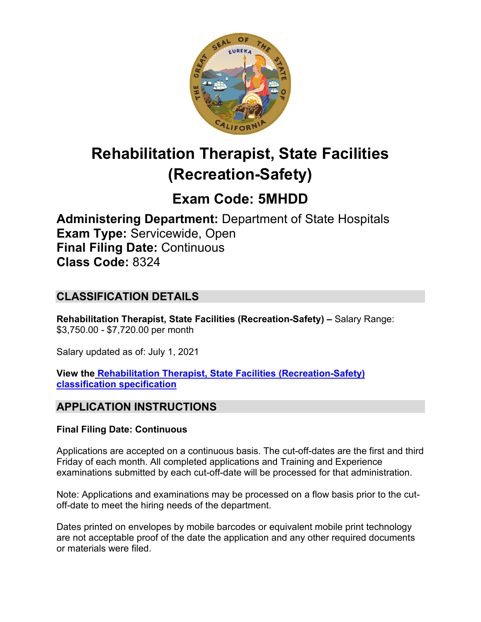

# **Rehabilitation Therapist, State Facilities (Recreation-Safety)**

# **Exam Code: 5MHDD**

**Administering Department:** Department of State Hospitals **Exam Type:** Servicewide, Open **Final Filing Date:** Continuous **Class Code:** 8324

# **CLASSIFICATION DETAILS**

**Rehabilitation Therapist, State Facilities (Recreation-Safety) –** Salary Range: \$3,750.00 - \$7,720.00 per month

Salary updated as of: July 1, 2021

**View the [Rehabilitation Therapist, State Facilities \(Recreation-Safety\)](https://www.calhr.ca.gov/state-hr-professionals/pages/8420.aspx)  [classification specification](https://www.calhr.ca.gov/state-hr-professionals/pages/8420.aspx)**

# **APPLICATION INSTRUCTIONS**

#### **Final Filing Date: Continuous**

Applications are accepted on a continuous basis. The cut-off-dates are the first and third Friday of each month. All completed applications and Training and Experience examinations submitted by each cut-off-date will be processed for that administration.

Note: Applications and examinations may be processed on a flow basis prior to the cutoff-date to meet the hiring needs of the department.

Dates printed on envelopes by mobile barcodes or equivalent mobile print technology are not acceptable proof of the date the application and any other required documents or materials were filed.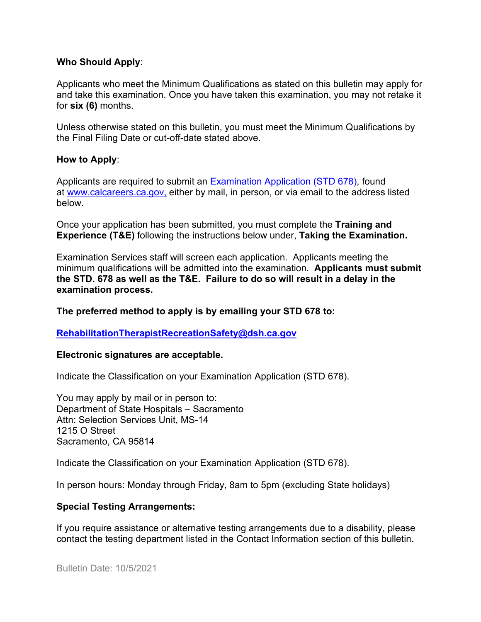#### **Who Should Apply**:

Applicants who meet the Minimum Qualifications as stated on this bulletin may apply for and take this examination. Once you have taken this examination, you may not retake it for **six (6)** months.

Unless otherwise stated on this bulletin, you must meet the Minimum Qualifications by the Final Filing Date or cut-off-date stated above.

#### **How to Apply**:

Applicants are required to submit an [Examination Application \(STD 678\),](https://jobs.ca.gov/pdf/std678.pdf) found at [www.calcareers.ca.gov,](http://www.calcareers.ca.gov/) either by mail, in person, or via email to the address listed below.

Once your application has been submitted, you must complete the **Training and Experience (T&E)** following the instructions below under, **Taking the Examination.**

Examination Services staff will screen each application. Applicants meeting the minimum qualifications will be admitted into the examination. **Applicants must submit the STD. 678 as well as the T&E. Failure to do so will result in a delay in the examination process.**

**The preferred method to apply is by emailing your STD 678 to:**

#### **[RehabilitationTherapistRecreationSafety@dsh.ca.gov](mailto:RehabilitationTherapistRecreationSafety@dsh.ca.gov)**

#### **Electronic signatures are acceptable.**

Indicate the Classification on your Examination Application (STD 678).

You may apply by mail or in person to: Department of State Hospitals – Sacramento Attn: Selection Services Unit, MS-14 1215 O Street Sacramento, CA 95814

Indicate the Classification on your Examination Application (STD 678).

In person hours: Monday through Friday, 8am to 5pm (excluding State holidays)

#### **Special Testing Arrangements:**

If you require assistance or alternative testing arrangements due to a disability, please contact the testing department listed in the Contact Information section of this bulletin.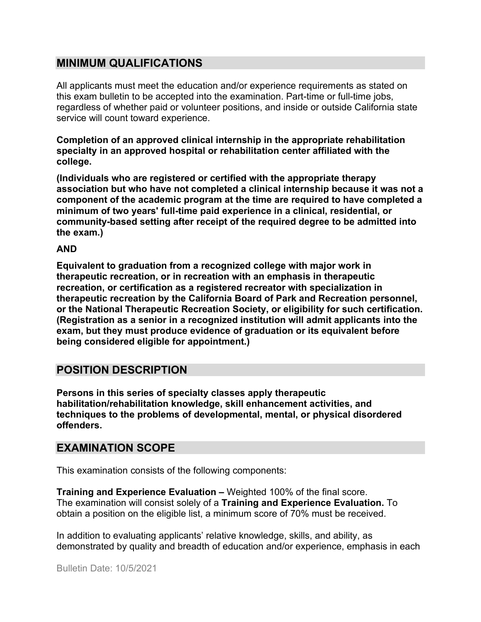# **MINIMUM QUALIFICATIONS**

All applicants must meet the education and/or experience requirements as stated on this exam bulletin to be accepted into the examination. Part-time or full-time jobs, regardless of whether paid or volunteer positions, and inside or outside California state service will count toward experience.

**Completion of an approved clinical internship in the appropriate rehabilitation specialty in an approved hospital or rehabilitation center affiliated with the college.**

**(Individuals who are registered or certified with the appropriate therapy association but who have not completed a clinical internship because it was not a component of the academic program at the time are required to have completed a minimum of two years' full-time paid experience in a clinical, residential, or community-based setting after receipt of the required degree to be admitted into the exam.)**

#### **AND**

**Equivalent to graduation from a recognized college with major work in therapeutic recreation, or in recreation with an emphasis in therapeutic recreation, or certification as a registered recreator with specialization in therapeutic recreation by the California Board of Park and Recreation personnel, or the National Therapeutic Recreation Society, or eligibility for such certification. (Registration as a senior in a recognized institution will admit applicants into the exam, but they must produce evidence of graduation or its equivalent before being considered eligible for appointment.)**

# **POSITION DESCRIPTION**

**Persons in this series of specialty classes apply therapeutic habilitation/rehabilitation knowledge, skill enhancement activities, and techniques to the problems of developmental, mental, or physical disordered offenders.**

## **EXAMINATION SCOPE**

This examination consists of the following components:

**Training and Experience Evaluation –** Weighted 100% of the final score. The examination will consist solely of a **Training and Experience Evaluation.** To obtain a position on the eligible list, a minimum score of 70% must be received.

In addition to evaluating applicants' relative knowledge, skills, and ability, as demonstrated by quality and breadth of education and/or experience, emphasis in each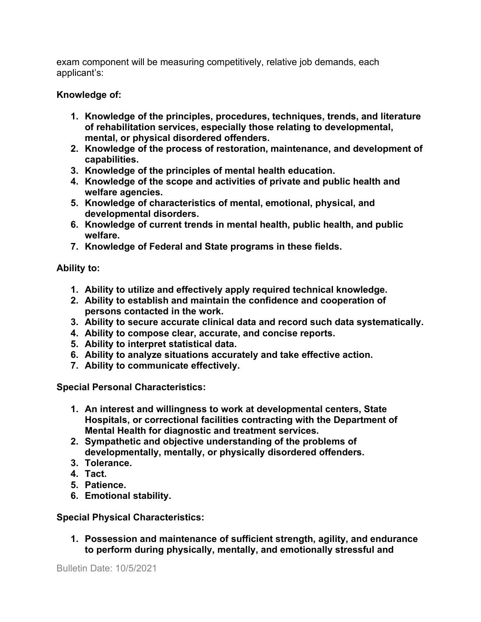exam component will be measuring competitively, relative job demands, each applicant's:

#### **Knowledge of:**

- **1. Knowledge of the principles, procedures, techniques, trends, and literature of rehabilitation services, especially those relating to developmental, mental, or physical disordered offenders.**
- **2. Knowledge of the process of restoration, maintenance, and development of capabilities.**
- **3. Knowledge of the principles of mental health education.**
- **4. Knowledge of the scope and activities of private and public health and welfare agencies.**
- **5. Knowledge of characteristics of mental, emotional, physical, and developmental disorders.**
- **6. Knowledge of current trends in mental health, public health, and public welfare.**
- **7. Knowledge of Federal and State programs in these fields.**

### **Ability to:**

- **1. Ability to utilize and effectively apply required technical knowledge.**
- **2. Ability to establish and maintain the confidence and cooperation of persons contacted in the work.**
- **3. Ability to secure accurate clinical data and record such data systematically.**
- **4. Ability to compose clear, accurate, and concise reports.**
- **5. Ability to interpret statistical data.**
- **6. Ability to analyze situations accurately and take effective action.**
- **7. Ability to communicate effectively.**

**Special Personal Characteristics:**

- **1. An interest and willingness to work at developmental centers, State Hospitals, or correctional facilities contracting with the Department of Mental Health for diagnostic and treatment services.**
- **2. Sympathetic and objective understanding of the problems of developmentally, mentally, or physically disordered offenders.**
- **3. Tolerance.**
- **4. Tact.**
- **5. Patience.**
- **6. Emotional stability.**

## **Special Physical Characteristics:**

**1. Possession and maintenance of sufficient strength, agility, and endurance to perform during physically, mentally, and emotionally stressful and**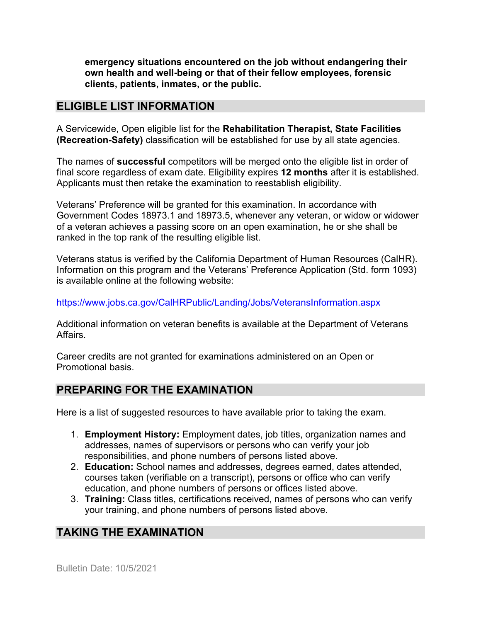**emergency situations encountered on the job without endangering their own health and well-being or that of their fellow employees, forensic clients, patients, inmates, or the public.**

## **ELIGIBLE LIST INFORMATION**

A Servicewide, Open eligible list for the **Rehabilitation Therapist, State Facilities (Recreation-Safety)** classification will be established for use by all state agencies.

The names of **successful** competitors will be merged onto the eligible list in order of final score regardless of exam date. Eligibility expires **12 months** after it is established. Applicants must then retake the examination to reestablish eligibility.

Veterans' Preference will be granted for this examination. In accordance with Government Codes 18973.1 and 18973.5, whenever any veteran, or widow or widower of a veteran achieves a passing score on an open examination, he or she shall be ranked in the top rank of the resulting eligible list.

Veterans status is verified by the California Department of Human Resources (CalHR). Information on this program and the Veterans' Preference Application (Std. form 1093) is available online at the following website:

<https://www.jobs.ca.gov/CalHRPublic/Landing/Jobs/VeteransInformation.aspx>

Additional information on veteran benefits is available at the Department of Veterans Affairs.

Career credits are not granted for examinations administered on an Open or Promotional basis.

# **PREPARING FOR THE EXAMINATION**

Here is a list of suggested resources to have available prior to taking the exam.

- 1. **Employment History:** Employment dates, job titles, organization names and addresses, names of supervisors or persons who can verify your job responsibilities, and phone numbers of persons listed above.
- 2. **Education:** School names and addresses, degrees earned, dates attended, courses taken (verifiable on a transcript), persons or office who can verify education, and phone numbers of persons or offices listed above.
- 3. **Training:** Class titles, certifications received, names of persons who can verify your training, and phone numbers of persons listed above.

# **TAKING THE EXAMINATION**

Bulletin Date: 10/5/2021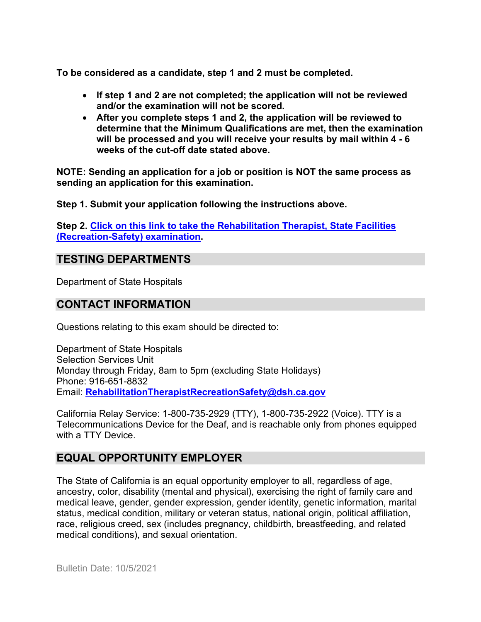**To be considered as a candidate, step 1 and 2 must be completed.**

- **If step 1 and 2 are not completed; the application will not be reviewed and/or the examination will not be scored.**
- **After you complete steps 1 and 2, the application will be reviewed to determine that the Minimum Qualifications are met, then the examination will be processed and you will receive your results by mail within 4 - 6 weeks of the cut-off date stated above.**

**NOTE: Sending an application for a job or position is NOT the same process as sending an application for this examination.**

**Step 1. Submit your application following the instructions above.**

**Step 2. [Click on this link to take the Rehabilitation Therapist, State Facilities](https://www.surveymonkey.com/r/TS578WY)  [\(Recreation-Safety\)](https://www.surveymonkey.com/r/TS578WY) examination.**

## **TESTING DEPARTMENTS**

Department of State Hospitals

### **CONTACT INFORMATION**

Questions relating to this exam should be directed to:

Department of State Hospitals Selection Services Unit Monday through Friday, 8am to 5pm (excluding State Holidays) Phone: 916-651-8832 Email: **[RehabilitationTherapistRecreationSafety@dsh.ca.gov](mailto:RehabilitationTherapistRecreationSafety@dsh.ca.gov)**

California Relay Service: 1-800-735-2929 (TTY), 1-800-735-2922 (Voice). TTY is a Telecommunications Device for the Deaf, and is reachable only from phones equipped with a TTY Device.

## **EQUAL OPPORTUNITY EMPLOYER**

The State of California is an equal opportunity employer to all, regardless of age, ancestry, color, disability (mental and physical), exercising the right of family care and medical leave, gender, gender expression, gender identity, genetic information, marital status, medical condition, military or veteran status, national origin, political affiliation, race, religious creed, sex (includes pregnancy, childbirth, breastfeeding, and related medical conditions), and sexual orientation.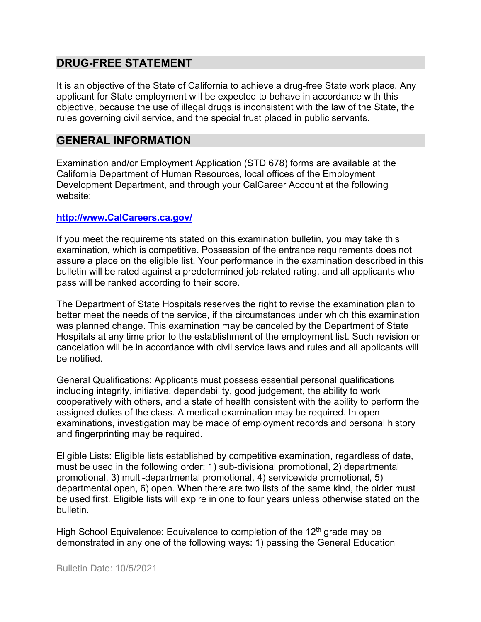## **DRUG-FREE STATEMENT**

It is an objective of the State of California to achieve a drug-free State work place. Any applicant for State employment will be expected to behave in accordance with this objective, because the use of illegal drugs is inconsistent with the law of the State, the rules governing civil service, and the special trust placed in public servants.

#### **GENERAL INFORMATION**

Examination and/or Employment Application (STD 678) forms are available at the California Department of Human Resources, local offices of the Employment Development Department, and through your CalCareer Account at the following website:

#### **http://www.CalCareers.ca.gov/**

If you meet the requirements stated on this examination bulletin, you may take this examination, which is competitive. Possession of the entrance requirements does not assure a place on the eligible list. Your performance in the examination described in this bulletin will be rated against a predetermined job-related rating, and all applicants who pass will be ranked according to their score.

The Department of State Hospitals reserves the right to revise the examination plan to better meet the needs of the service, if the circumstances under which this examination was planned change. This examination may be canceled by the Department of State Hospitals at any time prior to the establishment of the employment list. Such revision or cancelation will be in accordance with civil service laws and rules and all applicants will be notified.

General Qualifications: Applicants must possess essential personal qualifications including integrity, initiative, dependability, good judgement, the ability to work cooperatively with others, and a state of health consistent with the ability to perform the assigned duties of the class. A medical examination may be required. In open examinations, investigation may be made of employment records and personal history and fingerprinting may be required.

Eligible Lists: Eligible lists established by competitive examination, regardless of date, must be used in the following order: 1) sub-divisional promotional, 2) departmental promotional, 3) multi-departmental promotional, 4) servicewide promotional, 5) departmental open, 6) open. When there are two lists of the same kind, the older must be used first. Eligible lists will expire in one to four years unless otherwise stated on the bulletin.

High School Equivalence: Equivalence to completion of the  $12<sup>th</sup>$  grade may be demonstrated in any one of the following ways: 1) passing the General Education